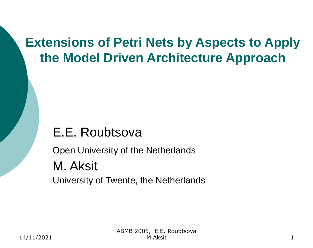### **Extensions of Petri Nets by Aspects to Apply the Model Driven Architecture Approach**

## E.E. Roubtsova

Open University of the Netherlands M. Aksit University of Twente, the Netherlands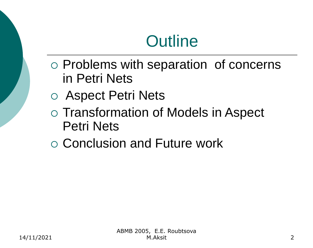# **Outline**

- $\circ$  Problems with separation of concerns in Petri Nets
- Aspect Petri Nets
- Transformation of Models in Aspect Petri Nets
- Conclusion and Future work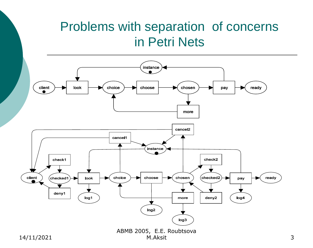### Problems with separation of concerns in Petri Nets

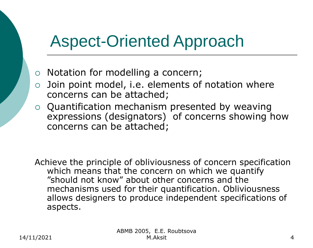## Aspect-Oriented Approach

- $\circ$  Notation for modelling a concern;
- $\circ$  Join point model, i.e. elements of notation where concerns can be attached;
- $\circ$  Quantification mechanism presented by weaving expressions (designators) of concerns showing how concerns can be attached;

Achieve the principle of obliviousness of concern specification which means that the concern on which we quantify "should not know" about other concerns and the mechanisms used for their quantification. Obliviousness allows designers to produce independent specifications of aspects.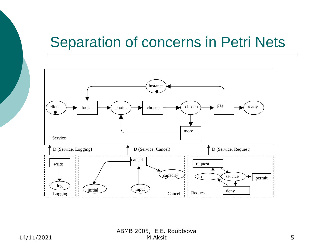## Separation of concerns in Petri Nets



ABMB 2005, E.E. Roubtsova M.Aksit 5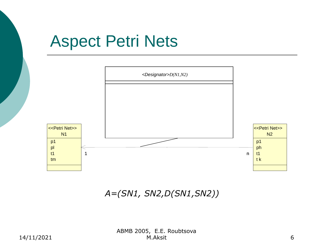## Aspect Petri Nets



*A=(SN1, SN2,D(SN1,SN2))*

ABMB 2005, E.E. Roubtsova M.Aksit 6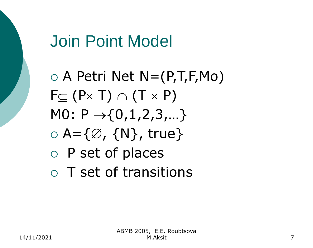## Join Point Model

 $\circ$  A Petri Net N=(P,T,F,Mo)  $F \subset (P \times T) \cap (T \times P)$ M0:  $P \rightarrow \{0, 1, 2, 3, ...\}$  $\circ$  A={ $\emptyset$ , {N}, true}  $\circ$  P set of places T set of transitions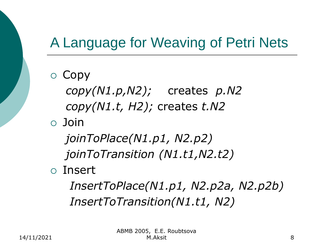## A Language for Weaving of Petri Nets

 $\circ$  Copy *copy(N1.p,N2);* creates *p.N2 copy(N1.t, H2);* creates *t.N2* Join *joinToPlace(N1.p1, N2.p2) joinToTransition (N1.t1,N2.t2)* Insert

*InsertToPlace(N1.p1, N2.p2a, N2.p2b) InsertToTransition(N1.t1, N2)*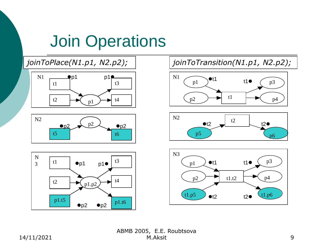# Join Operations

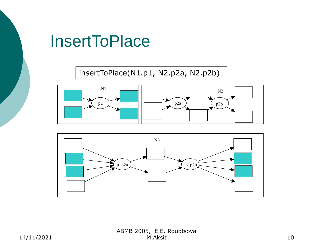## **InsertToPlace**

insertToPlace(N1.p1, N2.p2a, N2.p2b)



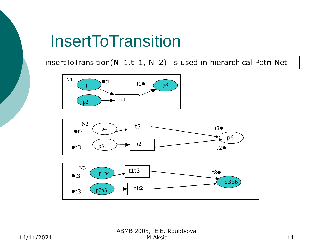## **InsertToTransition**

#### insertToTransition(N\_1.t\_1, N\_2) is used in hierarchical Petri Net







ABMB 2005, E.E. Roubtsova M.Aksit 11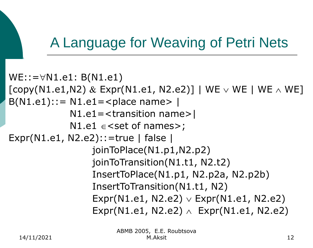## A Language for Weaving of Petri Nets

```
WE::=\forall N1.e1: B(N1.e1)[copy(N1.e1,N2) \& Expr(N1.e1, N2.e2)] | WE \vee WE | WE \wedge WE]
B(N1.e1):= N1.e1 = <i>p</i>|<i>lace</i> <i>name</i> > |N1.e1=<transition name>|
             N1.e1 \in < set of names>;
Expr(N1.e1, N2.e2)::=true | false | 
                   joinToPlace(N1.p1,N2.p2)
                   joinToTransition(N1.t1, N2.t2)
                   InsertToPlace(N1.p1, N2.p2a, N2.p2b)
                   InsertToTransition(N1.t1, N2)
                   Expr(N1.e1, N2.e2) \vee Expr(N1.e1, N2.e2)Expr(N1.e1, N2.e2) \land Expr(N1.e1, N2.e2)
```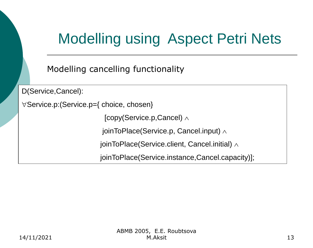# Modelling using Aspect Petri Nets

Modelling cancelling functionality

D(Service,Cancel):

Service.p:(Service.p={ choice, chosen}

[copy(Service.p, Cancel)  $\wedge$ 

joinToPlace(Service.p, Cancel.input)  $\land$ 

joinToPlace(Service.client, Cancel.initial)  $\land$ 

joinToPlace(Service.instance,Cancel.capacity)];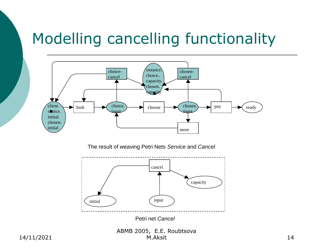## Modelling cancelling functionality



The result of weaving Petri Nets *Service* and *Cancel*



Petri net *Cancel*

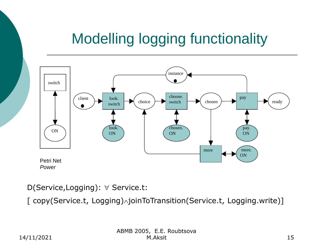## Modelling logging functionality



*Power*

#### D(Service,Logging):  $\forall$  Service.t:

[ copy(Service.t, Logging) /joinToTransition(Service.t, Logging.write)]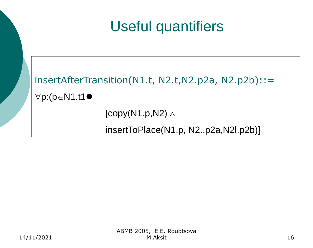## Useful quantifiers



insertToPlace(N1.p, N2..p2a,N2l.p2b)]